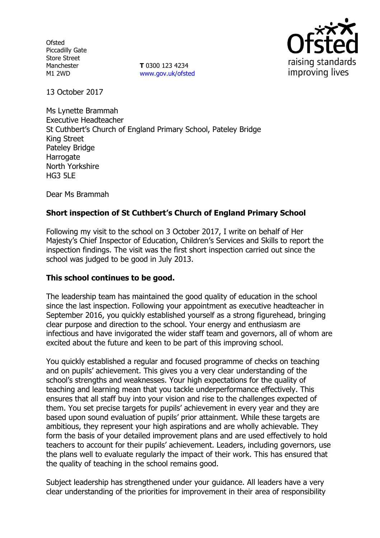**Ofsted** Piccadilly Gate Store Street Manchester M1 2WD

**T** 0300 123 4234 www.gov.uk/ofsted



13 October 2017

Ms Lynette Brammah Executive Headteacher St Cuthbert's Church of England Primary School, Pateley Bridge King Street Pateley Bridge Harrogate North Yorkshire HG3 5LE

Dear Ms Brammah

# **Short inspection of St Cuthbert's Church of England Primary School**

Following my visit to the school on 3 October 2017, I write on behalf of Her Majesty's Chief Inspector of Education, Children's Services and Skills to report the inspection findings. The visit was the first short inspection carried out since the school was judged to be good in July 2013.

### **This school continues to be good.**

The leadership team has maintained the good quality of education in the school since the last inspection. Following your appointment as executive headteacher in September 2016, you quickly established yourself as a strong figurehead, bringing clear purpose and direction to the school. Your energy and enthusiasm are infectious and have invigorated the wider staff team and governors, all of whom are excited about the future and keen to be part of this improving school.

You quickly established a regular and focused programme of checks on teaching and on pupils' achievement. This gives you a very clear understanding of the school's strengths and weaknesses. Your high expectations for the quality of teaching and learning mean that you tackle underperformance effectively. This ensures that all staff buy into your vision and rise to the challenges expected of them. You set precise targets for pupils' achievement in every year and they are based upon sound evaluation of pupils' prior attainment. While these targets are ambitious, they represent your high aspirations and are wholly achievable. They form the basis of your detailed improvement plans and are used effectively to hold teachers to account for their pupils' achievement. Leaders, including governors, use the plans well to evaluate regularly the impact of their work. This has ensured that the quality of teaching in the school remains good.

Subject leadership has strengthened under your guidance. All leaders have a very clear understanding of the priorities for improvement in their area of responsibility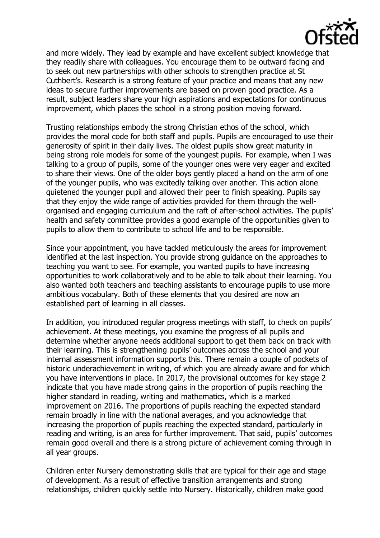

and more widely. They lead by example and have excellent subject knowledge that they readily share with colleagues. You encourage them to be outward facing and to seek out new partnerships with other schools to strengthen practice at St Cuthbert's. Research is a strong feature of your practice and means that any new ideas to secure further improvements are based on proven good practice. As a result, subject leaders share your high aspirations and expectations for continuous improvement, which places the school in a strong position moving forward.

Trusting relationships embody the strong Christian ethos of the school, which provides the moral code for both staff and pupils. Pupils are encouraged to use their generosity of spirit in their daily lives. The oldest pupils show great maturity in being strong role models for some of the youngest pupils. For example, when I was talking to a group of pupils, some of the younger ones were very eager and excited to share their views. One of the older boys gently placed a hand on the arm of one of the younger pupils, who was excitedly talking over another. This action alone quietened the younger pupil and allowed their peer to finish speaking. Pupils say that they enjoy the wide range of activities provided for them through the wellorganised and engaging curriculum and the raft of after-school activities. The pupils' health and safety committee provides a good example of the opportunities given to pupils to allow them to contribute to school life and to be responsible.

Since your appointment, you have tackled meticulously the areas for improvement identified at the last inspection. You provide strong guidance on the approaches to teaching you want to see. For example, you wanted pupils to have increasing opportunities to work collaboratively and to be able to talk about their learning. You also wanted both teachers and teaching assistants to encourage pupils to use more ambitious vocabulary. Both of these elements that you desired are now an established part of learning in all classes.

In addition, you introduced regular progress meetings with staff, to check on pupils' achievement. At these meetings, you examine the progress of all pupils and determine whether anyone needs additional support to get them back on track with their learning. This is strengthening pupils' outcomes across the school and your internal assessment information supports this. There remain a couple of pockets of historic underachievement in writing, of which you are already aware and for which you have interventions in place. In 2017, the provisional outcomes for key stage 2 indicate that you have made strong gains in the proportion of pupils reaching the higher standard in reading, writing and mathematics, which is a marked improvement on 2016. The proportions of pupils reaching the expected standard remain broadly in line with the national averages, and you acknowledge that increasing the proportion of pupils reaching the expected standard, particularly in reading and writing, is an area for further improvement. That said, pupils' outcomes remain good overall and there is a strong picture of achievement coming through in all year groups.

Children enter Nursery demonstrating skills that are typical for their age and stage of development. As a result of effective transition arrangements and strong relationships, children quickly settle into Nursery. Historically, children make good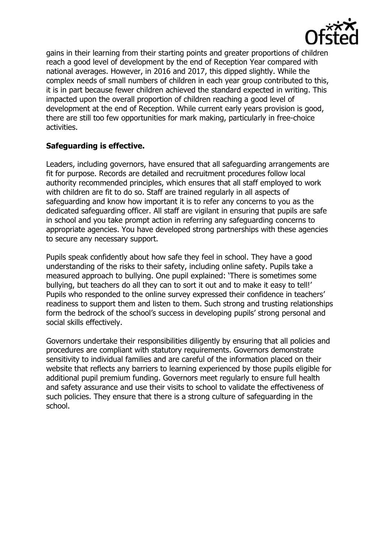

gains in their learning from their starting points and greater proportions of children reach a good level of development by the end of Reception Year compared with national averages. However, in 2016 and 2017, this dipped slightly. While the complex needs of small numbers of children in each year group contributed to this, it is in part because fewer children achieved the standard expected in writing. This impacted upon the overall proportion of children reaching a good level of development at the end of Reception. While current early years provision is good, there are still too few opportunities for mark making, particularly in free-choice activities.

### **Safeguarding is effective.**

Leaders, including governors, have ensured that all safeguarding arrangements are fit for purpose. Records are detailed and recruitment procedures follow local authority recommended principles, which ensures that all staff employed to work with children are fit to do so. Staff are trained regularly in all aspects of safeguarding and know how important it is to refer any concerns to you as the dedicated safeguarding officer. All staff are vigilant in ensuring that pupils are safe in school and you take prompt action in referring any safeguarding concerns to appropriate agencies. You have developed strong partnerships with these agencies to secure any necessary support.

Pupils speak confidently about how safe they feel in school. They have a good understanding of the risks to their safety, including online safety. Pupils take a measured approach to bullying. One pupil explained: 'There is sometimes some bullying, but teachers do all they can to sort it out and to make it easy to tell!' Pupils who responded to the online survey expressed their confidence in teachers' readiness to support them and listen to them. Such strong and trusting relationships form the bedrock of the school's success in developing pupils' strong personal and social skills effectively.

Governors undertake their responsibilities diligently by ensuring that all policies and procedures are compliant with statutory requirements. Governors demonstrate sensitivity to individual families and are careful of the information placed on their website that reflects any barriers to learning experienced by those pupils eligible for additional pupil premium funding. Governors meet regularly to ensure full health and safety assurance and use their visits to school to validate the effectiveness of such policies. They ensure that there is a strong culture of safeguarding in the school.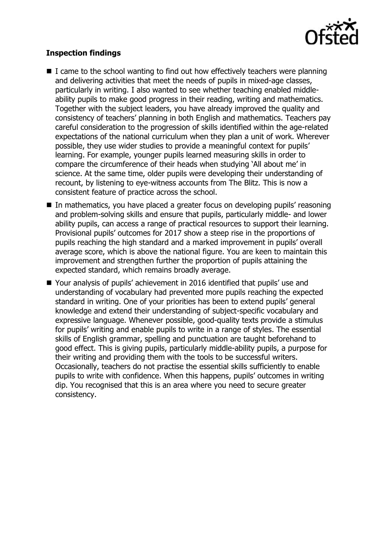

## **Inspection findings**

- $\blacksquare$  I came to the school wanting to find out how effectively teachers were planning and delivering activities that meet the needs of pupils in mixed-age classes, particularly in writing. I also wanted to see whether teaching enabled middleability pupils to make good progress in their reading, writing and mathematics. Together with the subject leaders, you have already improved the quality and consistency of teachers' planning in both English and mathematics. Teachers pay careful consideration to the progression of skills identified within the age-related expectations of the national curriculum when they plan a unit of work. Wherever possible, they use wider studies to provide a meaningful context for pupils' learning. For example, younger pupils learned measuring skills in order to compare the circumference of their heads when studying 'All about me' in science. At the same time, older pupils were developing their understanding of recount, by listening to eye-witness accounts from The Blitz. This is now a consistent feature of practice across the school.
- In mathematics, you have placed a greater focus on developing pupils' reasoning and problem-solving skills and ensure that pupils, particularly middle- and lower ability pupils, can access a range of practical resources to support their learning. Provisional pupils' outcomes for 2017 show a steep rise in the proportions of pupils reaching the high standard and a marked improvement in pupils' overall average score, which is above the national figure. You are keen to maintain this improvement and strengthen further the proportion of pupils attaining the expected standard, which remains broadly average.
- Your analysis of pupils' achievement in 2016 identified that pupils' use and understanding of vocabulary had prevented more pupils reaching the expected standard in writing. One of your priorities has been to extend pupils' general knowledge and extend their understanding of subject-specific vocabulary and expressive language. Whenever possible, good-quality texts provide a stimulus for pupils' writing and enable pupils to write in a range of styles. The essential skills of English grammar, spelling and punctuation are taught beforehand to good effect. This is giving pupils, particularly middle-ability pupils, a purpose for their writing and providing them with the tools to be successful writers. Occasionally, teachers do not practise the essential skills sufficiently to enable pupils to write with confidence. When this happens, pupils' outcomes in writing dip. You recognised that this is an area where you need to secure greater consistency.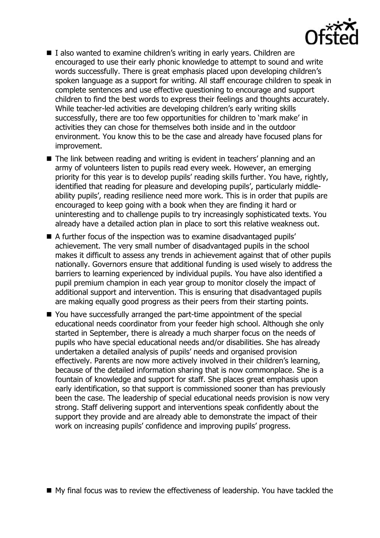

- $\blacksquare$  I also wanted to examine children's writing in early years. Children are encouraged to use their early phonic knowledge to attempt to sound and write words successfully. There is great emphasis placed upon developing children's spoken language as a support for writing. All staff encourage children to speak in complete sentences and use effective questioning to encourage and support children to find the best words to express their feelings and thoughts accurately. While teacher-led activities are developing children's early writing skills successfully, there are too few opportunities for children to 'mark make' in activities they can chose for themselves both inside and in the outdoor environment. You know this to be the case and already have focused plans for improvement.
- The link between reading and writing is evident in teachers' planning and an army of volunteers listen to pupils read every week. However, an emerging priority for this year is to develop pupils' reading skills further. You have, rightly, identified that reading for pleasure and developing pupils', particularly middleability pupils', reading resilience need more work. This is in order that pupils are encouraged to keep going with a book when they are finding it hard or uninteresting and to challenge pupils to try increasingly sophisticated texts. You already have a detailed action plan in place to sort this relative weakness out.
- A further focus of the inspection was to examine disadvantaged pupils' achievement. The very small number of disadvantaged pupils in the school makes it difficult to assess any trends in achievement against that of other pupils nationally. Governors ensure that additional funding is used wisely to address the barriers to learning experienced by individual pupils. You have also identified a pupil premium champion in each year group to monitor closely the impact of additional support and intervention. This is ensuring that disadvantaged pupils are making equally good progress as their peers from their starting points.
- You have successfully arranged the part-time appointment of the special educational needs coordinator from your feeder high school. Although she only started in September, there is already a much sharper focus on the needs of pupils who have special educational needs and/or disabilities. She has already undertaken a detailed analysis of pupils' needs and organised provision effectively. Parents are now more actively involved in their children's learning, because of the detailed information sharing that is now commonplace. She is a fountain of knowledge and support for staff. She places great emphasis upon early identification, so that support is commissioned sooner than has previously been the case. The leadership of special educational needs provision is now very strong. Staff delivering support and interventions speak confidently about the support they provide and are already able to demonstrate the impact of their work on increasing pupils' confidence and improving pupils' progress.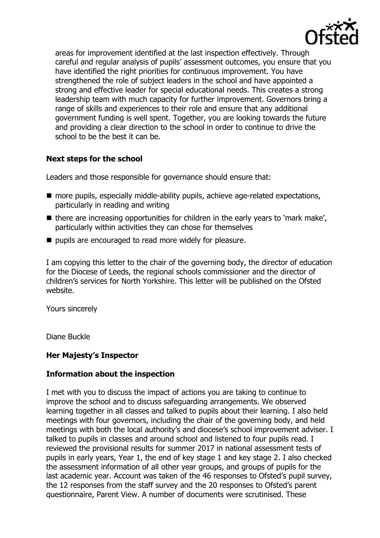

areas for improvement identified at the last inspection effectively. Through careful and regular analysis of pupils' assessment outcomes, you ensure that you have identified the right priorities for continuous improvement. You have strengthened the role of subject leaders in the school and have appointed a strong and effective leader for special educational needs. This creates a strong leadership team with much capacity for further improvement. Governors bring a range of skills and experiences to their role and ensure that any additional government funding is well spent. Together, you are looking towards the future and providing a clear direction to the school in order to continue to drive the school to be the best it can be.

## **Next steps for the school**

Leaders and those responsible for governance should ensure that:

- more pupils, especially middle-ability pupils, achieve age-related expectations, particularly in reading and writing
- $\blacksquare$  there are increasing opportunities for children in the early years to 'mark make', particularly within activities they can chose for themselves
- pupils are encouraged to read more widely for pleasure.

I am copying this letter to the chair of the governing body, the director of education for the Diocese of Leeds, the regional schools commissioner and the director of children's services for North Yorkshire. This letter will be published on the Ofsted website.

Yours sincerely

Diane Buckle

### **Her Majesty's Inspector**

### **Information about the inspection**

I met with you to discuss the impact of actions you are taking to continue to improve the school and to discuss safeguarding arrangements. We observed learning together in all classes and talked to pupils about their learning. I also held meetings with four governors, including the chair of the governing body, and held meetings with both the local authority's and diocese's school improvement adviser. I talked to pupils in classes and around school and listened to four pupils read. I reviewed the provisional results for summer 2017 in national assessment tests of pupils in early years, Year 1, the end of key stage 1 and key stage 2. I also checked the assessment information of all other year groups, and groups of pupils for the last academic year. Account was taken of the 46 responses to Ofsted's pupil survey, the 12 responses from the staff survey and the 20 responses to Ofsted's parent questionnaire, Parent View. A number of documents were scrutinised. These